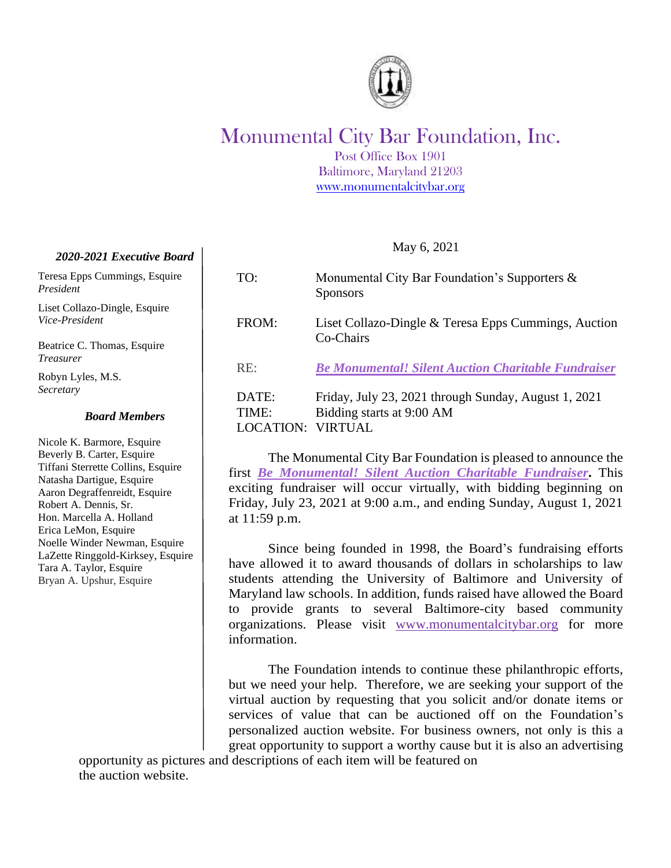

## Monumental City Bar Foundation, Inc.

Post Office Box 1901 Baltimore, Maryland 21203 [www.monumentalcitybar.org](http://www.monumentalcitybar.org/)

| TO:          | Monumental City Bar Foundation's Supporters $\&$<br><b>Sponsors</b> |
|--------------|---------------------------------------------------------------------|
| FROM:        | Liset Collazo-Dingle & Teresa Epps Cummings, Auction<br>Co-Chairs   |
| RE:          | <b>Be Monumental! Silent Auction Charitable Fundraiser</b>          |
| DATE:        | Friday, July 23, 2021 through Sunday, August 1, 2021                |
| <b>TIME:</b> | Bidding starts at 9:00 AM                                           |
|              | <b>DCATION: VIRTUAL</b>                                             |

May 6, 2021

The Monumental City Bar Foundation is pleased to announce the first *Be Monumental! Silent Auction Charitable Fundraiser***.** This exciting fundraiser will occur virtually, with bidding beginning on Friday, July 23, 2021 at 9:00 a.m., and ending Sunday, August 1, 2021 at 11:59 p.m.

Since being founded in 1998, the Board's fundraising efforts have allowed it to award thousands of dollars in scholarships to law students attending the University of Baltimore and University of Maryland law schools. In addition, funds raised have allowed the Board to provide grants to several Baltimore-city based community organizations. Please visit [www.monumentalcitybar.org](http://www.monumentalcitybar.org/) for more information.

The Foundation intends to continue these philanthropic efforts, but we need your help. Therefore, we are seeking your support of the virtual auction by requesting that you solicit and/or donate items or services of value that can be auctioned off on the Foundation's personalized auction website. For business owners, not only is this a great opportunity to support a worthy cause but it is also an advertising

opportunity as pictures and descriptions of each item will be featured on the auction website.

## *2020-2021 Executive Board*

Teresa Epps Cummings, Esquire *President*

Liset Collazo-Dingle, Esquire *Vice-President* 

Beatrice C. Thomas, Esquire *Treasurer*

Robyn Lyles, M.S. *Secretary*

## *Board Members*

Nicole K. Barmore, Esquire Beverly B. Carter, Esquire Tiffani Sterrette Collins, Esquire Natasha Dartigue, Esquire Aaron Degraffenreidt, Esquire Robert A. Dennis, Sr. Hon. Marcella A. Holland Erica LeMon, Esquire Noelle Winder Newman, Esquire LaZette Ringgold-Kirksey, Esquire Tara A. Taylor, Esquire Bryan A. Upshur, Esquire